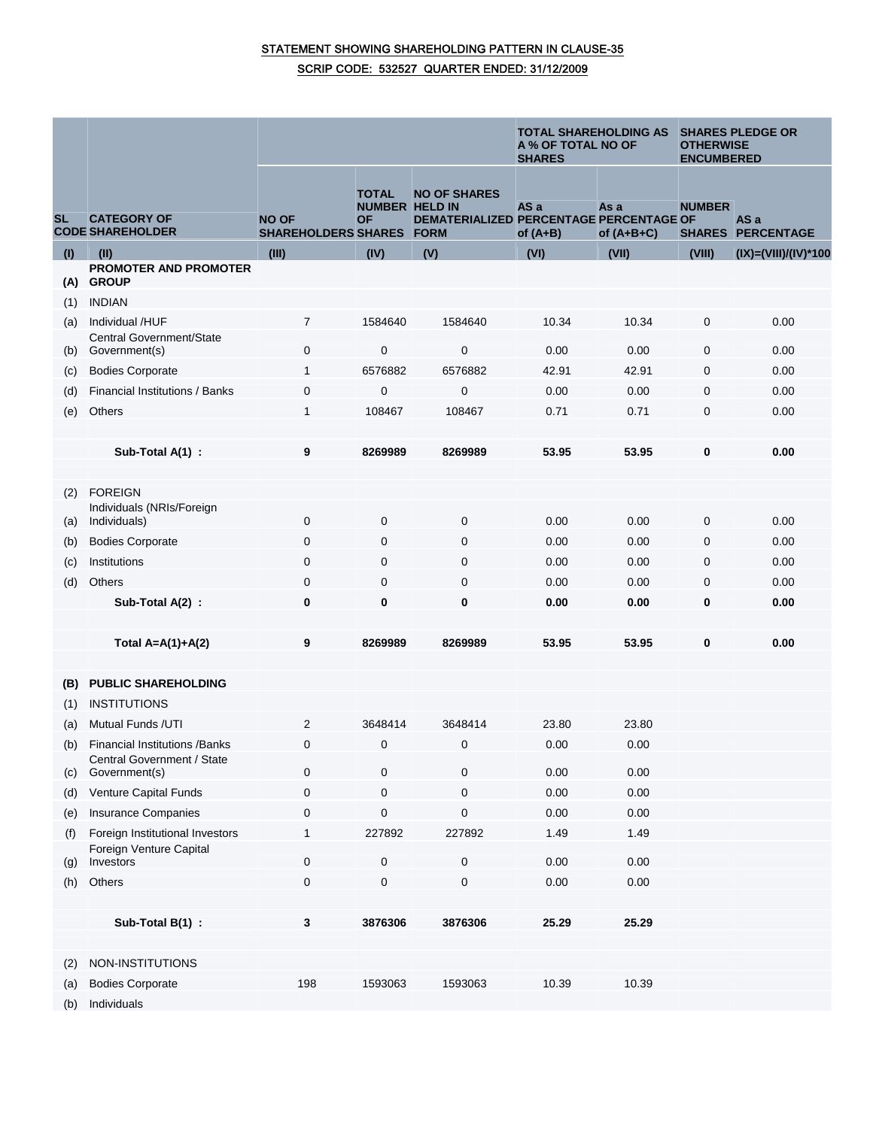## STATEMENT SHOWING SHAREHOLDING PATTERN IN CLAUSE-35 SCRIP CODE: 532527 QUARTER ENDED: 31/12/2009

|           |                                                            |                                            |                                                    |                                                                               | <b>TOTAL SHAREHOLDING AS</b><br>A % OF TOTAL NO OF<br><b>SHARES</b> |                      | <b>SHARES PLEDGE OR</b><br><b>OTHERWISE</b><br><b>ENCUMBERED</b> |                                  |
|-----------|------------------------------------------------------------|--------------------------------------------|----------------------------------------------------|-------------------------------------------------------------------------------|---------------------------------------------------------------------|----------------------|------------------------------------------------------------------|----------------------------------|
| <b>SL</b> | <b>CATEGORY OF</b><br><b>CODE SHAREHOLDER</b>              | <b>NO OF</b><br><b>SHAREHOLDERS SHARES</b> | <b>TOTAL</b><br><b>NUMBER HELD IN</b><br><b>OF</b> | <b>NO OF SHARES</b><br>DEMATERIALIZED PERCENTAGE PERCENTAGE OF<br><b>FORM</b> | AS a<br>of $(A+B)$                                                  | As a<br>of $(A+B+C)$ | <b>NUMBER</b>                                                    | AS a<br><b>SHARES PERCENTAGE</b> |
| (1)       | (II)                                                       | (III)                                      | (IV)                                               | (V)                                                                           | (VI)                                                                | (VII)                | (VIII)                                                           | (IX)=(VIII)/(IV)*100             |
| (A)       | <b>PROMOTER AND PROMOTER</b><br><b>GROUP</b>               |                                            |                                                    |                                                                               |                                                                     |                      |                                                                  |                                  |
| (1)       | <b>INDIAN</b>                                              |                                            |                                                    |                                                                               |                                                                     |                      |                                                                  |                                  |
| (a)       | Individual /HUF                                            | $\overline{7}$                             | 1584640                                            | 1584640                                                                       | 10.34                                                               | 10.34                | $\mathbf 0$                                                      | 0.00                             |
|           | Central Government/State                                   |                                            |                                                    |                                                                               |                                                                     |                      |                                                                  |                                  |
| (b)       | Government(s)                                              | 0                                          | $\mathbf 0$                                        | 0                                                                             | 0.00                                                                | 0.00                 | $\mathbf 0$                                                      | 0.00                             |
| (c)       | <b>Bodies Corporate</b>                                    | $\mathbf{1}$                               | 6576882                                            | 6576882                                                                       | 42.91                                                               | 42.91                | 0                                                                | 0.00                             |
| (d)       | Financial Institutions / Banks                             | 0                                          | $\mathbf{0}$                                       | 0                                                                             | 0.00                                                                | 0.00                 | $\mathbf 0$                                                      | 0.00                             |
| (e)       | Others                                                     | 1                                          | 108467                                             | 108467                                                                        | 0.71                                                                | 0.71                 | $\mathbf 0$                                                      | 0.00                             |
|           |                                                            |                                            |                                                    |                                                                               |                                                                     |                      |                                                                  |                                  |
|           | Sub-Total A(1) :                                           | 9                                          | 8269989                                            | 8269989                                                                       | 53.95                                                               | 53.95                | $\bf{0}$                                                         | 0.00                             |
|           |                                                            |                                            |                                                    |                                                                               |                                                                     |                      |                                                                  |                                  |
| (2)       | <b>FOREIGN</b>                                             |                                            |                                                    |                                                                               |                                                                     |                      |                                                                  |                                  |
| (a)       | Individuals (NRIs/Foreign<br>Individuals)                  | 0                                          | $\mathbf 0$                                        | 0                                                                             | 0.00                                                                | 0.00                 | $\mathbf 0$                                                      | 0.00                             |
| (b)       | <b>Bodies Corporate</b>                                    | 0                                          | $\mathbf 0$                                        | 0                                                                             | 0.00                                                                | 0.00                 | 0                                                                | 0.00                             |
| (c)       | Institutions                                               | $\mathbf 0$                                | $\mathbf 0$                                        | $\mathbf 0$                                                                   | 0.00                                                                | 0.00                 | $\mathbf 0$                                                      | 0.00                             |
| (d)       | Others                                                     | $\boldsymbol{0}$                           | $\mathbf{0}$                                       | 0                                                                             | 0.00                                                                | 0.00                 | $\mathbf 0$                                                      | 0.00                             |
|           | Sub-Total A(2) :                                           | 0                                          | 0                                                  | 0                                                                             | 0.00                                                                | 0.00                 | $\bf{0}$                                                         | 0.00                             |
|           |                                                            |                                            |                                                    |                                                                               |                                                                     |                      |                                                                  |                                  |
|           | Total $A=A(1)+A(2)$                                        | 9                                          | 8269989                                            | 8269989                                                                       | 53.95                                                               | 53.95                | 0                                                                | 0.00                             |
|           |                                                            |                                            |                                                    |                                                                               |                                                                     |                      |                                                                  |                                  |
| (B)       | <b>PUBLIC SHAREHOLDING</b>                                 |                                            |                                                    |                                                                               |                                                                     |                      |                                                                  |                                  |
| (1)       | <b>INSTITUTIONS</b>                                        |                                            |                                                    |                                                                               |                                                                     |                      |                                                                  |                                  |
| (a)       | <b>Mutual Funds /UTI</b>                                   | $\overline{2}$                             | 3648414                                            | 3648414                                                                       | 23.80                                                               | 23.80                |                                                                  |                                  |
| (b)       | <b>Financial Institutions / Banks</b>                      | 0                                          | $\mathbf 0$                                        | $\mathbf 0$                                                                   | 0.00                                                                | 0.00                 |                                                                  |                                  |
|           | Central Government / State                                 |                                            |                                                    |                                                                               |                                                                     |                      |                                                                  |                                  |
| (c)       | Government(s)                                              | 0                                          | $\pmb{0}$                                          | 0                                                                             | 0.00                                                                | 0.00                 |                                                                  |                                  |
| (d)       | Venture Capital Funds                                      | 0                                          | 0                                                  | 0                                                                             | 0.00                                                                | 0.00                 |                                                                  |                                  |
| (e)       | Insurance Companies                                        | 0                                          | $\pmb{0}$                                          | $\mathsf{O}\xspace$                                                           | 0.00                                                                | 0.00                 |                                                                  |                                  |
| (f)       | Foreign Institutional Investors<br>Foreign Venture Capital | 1                                          | 227892                                             | 227892                                                                        | 1.49                                                                | 1.49                 |                                                                  |                                  |
| (g)       | Investors                                                  | 0                                          | $\pmb{0}$                                          | 0                                                                             | 0.00                                                                | 0.00                 |                                                                  |                                  |
| (h)       | Others                                                     | $\pmb{0}$                                  | $\pmb{0}$                                          | 0                                                                             | 0.00                                                                | 0.00                 |                                                                  |                                  |
|           |                                                            |                                            |                                                    |                                                                               |                                                                     |                      |                                                                  |                                  |
|           | Sub-Total B(1) :                                           | 3                                          | 3876306                                            | 3876306                                                                       | 25.29                                                               | 25.29                |                                                                  |                                  |
|           |                                                            |                                            |                                                    |                                                                               |                                                                     |                      |                                                                  |                                  |
| (2)       | NON-INSTITUTIONS                                           |                                            |                                                    |                                                                               |                                                                     |                      |                                                                  |                                  |
| (a)       | <b>Bodies Corporate</b>                                    | 198                                        | 1593063                                            | 1593063                                                                       | 10.39                                                               | 10.39                |                                                                  |                                  |
| (h)       | Individuale                                                |                                            |                                                    |                                                                               |                                                                     |                      |                                                                  |                                  |

(b) Individuals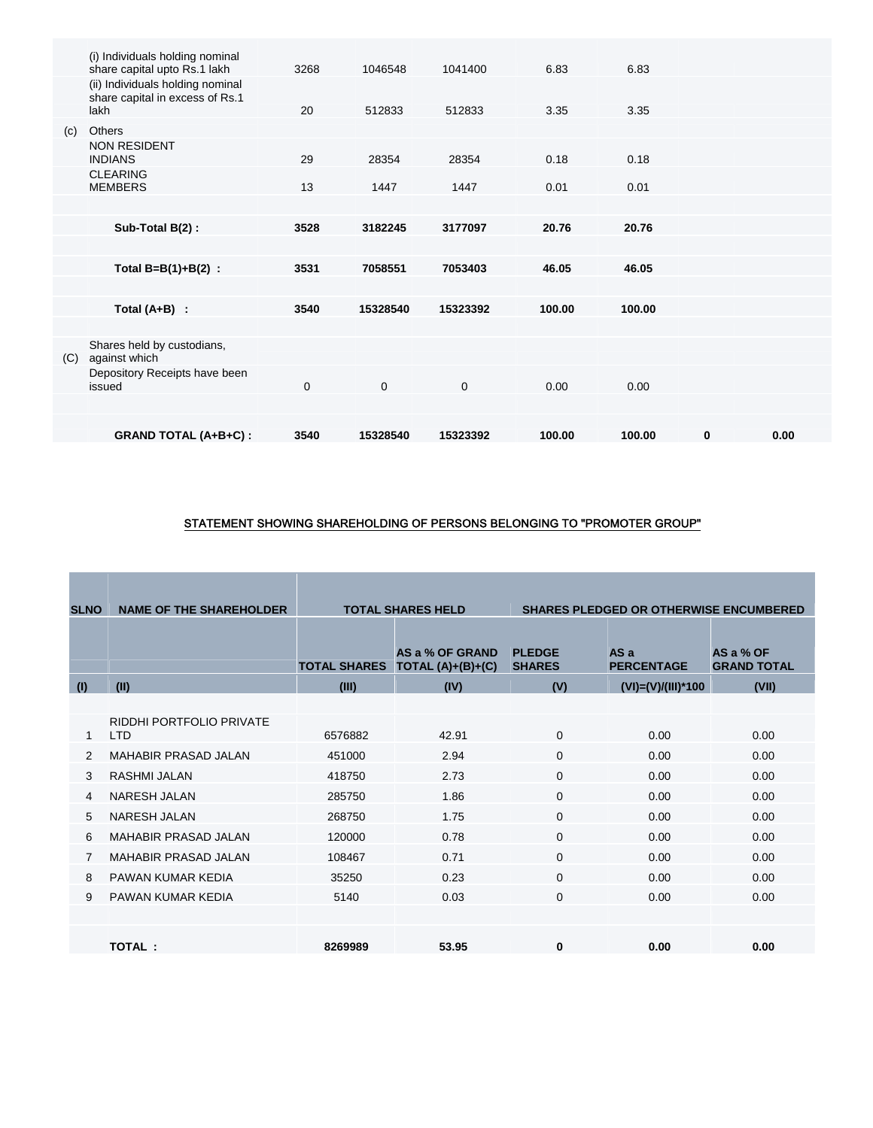|     | (i) Individuals holding nominal<br>share capital upto Rs.1 lakh             | 3268        | 1046548     | 1041400     | 6.83   | 6.83   |          |      |
|-----|-----------------------------------------------------------------------------|-------------|-------------|-------------|--------|--------|----------|------|
|     | (ii) Individuals holding nominal<br>share capital in excess of Rs.1<br>lakh | 20          | 512833      | 512833      | 3.35   | 3.35   |          |      |
| (c) | <b>Others</b>                                                               |             |             |             |        |        |          |      |
|     | <b>NON RESIDENT</b><br><b>INDIANS</b>                                       | 29          | 28354       | 28354       | 0.18   | 0.18   |          |      |
|     | <b>CLEARING</b><br><b>MEMBERS</b>                                           | 13          | 1447        | 1447        | 0.01   | 0.01   |          |      |
|     |                                                                             |             |             |             |        |        |          |      |
|     | Sub-Total B(2):                                                             | 3528        | 3182245     | 3177097     | 20.76  | 20.76  |          |      |
|     |                                                                             |             |             |             |        |        |          |      |
|     | Total $B=B(1)+B(2)$ :                                                       | 3531        | 7058551     | 7053403     | 46.05  | 46.05  |          |      |
|     |                                                                             |             |             |             |        |        |          |      |
|     | Total $(A+B)$ :                                                             | 3540        | 15328540    | 15323392    | 100.00 | 100.00 |          |      |
|     |                                                                             |             |             |             |        |        |          |      |
| (C) | Shares held by custodians,<br>against which                                 |             |             |             |        |        |          |      |
|     | Depository Receipts have been<br>issued                                     | $\mathbf 0$ | $\mathbf 0$ | $\mathbf 0$ | 0.00   | 0.00   |          |      |
|     |                                                                             |             |             |             |        |        |          |      |
|     | <b>GRAND TOTAL (A+B+C):</b>                                                 | 3540        | 15328540    | 15323392    | 100.00 | 100.00 | $\bf{0}$ | 0.00 |
|     |                                                                             |             |             |             |        |        |          |      |

### STATEMENT SHOWING SHAREHOLDING OF PERSONS BELONGING TO "PROMOTER GROUP"

| <b>SLNO</b> | <b>NAME OF THE SHAREHOLDER</b>         | <b>TOTAL SHARES HELD</b> |                                        | <b>SHARES PLEDGED OR OTHERWISE ENCUMBERED</b> |                           |                                 |  |
|-------------|----------------------------------------|--------------------------|----------------------------------------|-----------------------------------------------|---------------------------|---------------------------------|--|
|             |                                        |                          |                                        |                                               |                           |                                 |  |
|             |                                        | <b>TOTAL SHARES</b>      | AS a % OF GRAND<br>TOTAL $(A)+(B)+(C)$ | <b>PLEDGE</b><br><b>SHARES</b>                | AS a<br><b>PERCENTAGE</b> | AS a % OF<br><b>GRAND TOTAL</b> |  |
| (1)         | (II)                                   | (III)                    | (IV)                                   | (V)                                           | $(VI) = (V)/(III)^*100$   | (VII)                           |  |
|             |                                        |                          |                                        |                                               |                           |                                 |  |
| 1           | RIDDHI PORTFOLIO PRIVATE<br><b>LTD</b> | 6576882                  | 42.91                                  | $\Omega$                                      | 0.00                      | 0.00                            |  |
| 2           | MAHABIR PRASAD JAI AN                  | 451000                   | 2.94                                   | $\Omega$                                      | 0.00                      | 0.00                            |  |
| 3           | RASHMI JALAN                           | 418750                   | 2.73                                   | $\Omega$                                      | 0.00                      | 0.00                            |  |
| 4           | <b>NARESH JALAN</b>                    | 285750                   | 1.86                                   | $\Omega$                                      | 0.00                      | 0.00                            |  |
| 5           | <b>NARESH JALAN</b>                    | 268750                   | 1.75                                   | $\Omega$                                      | 0.00                      | 0.00                            |  |
| 6           | <b>MAHABIR PRASAD JALAN</b>            | 120000                   | 0.78                                   | $\Omega$                                      | 0.00                      | 0.00                            |  |
|             | <b>MAHABIR PRASAD JAI AN</b>           | 108467                   | 0.71                                   | $\Omega$                                      | 0.00                      | 0.00                            |  |
| 8           | PAWAN KUMAR KEDIA                      | 35250                    | 0.23                                   | $\Omega$                                      | 0.00                      | 0.00                            |  |
| 9           | PAWAN KUMAR KEDIA                      | 5140                     | 0.03                                   | $\mathbf 0$                                   | 0.00                      | 0.00                            |  |
|             |                                        |                          |                                        |                                               |                           |                                 |  |
|             | TOTAL:                                 | 8269989                  | 53.95                                  | $\bf{0}$                                      | 0.00                      | 0.00                            |  |